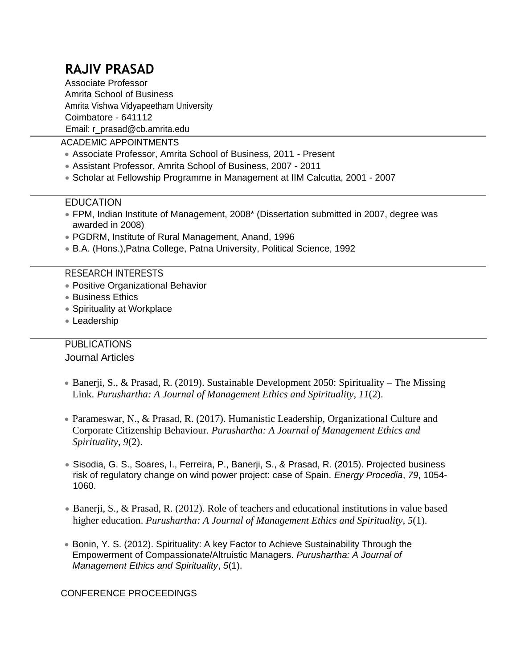# **RAJIV PRASAD**

Associate Professor Amrita School of Business Amrita Vishwa Vidyapeetham University Coimbatore - 641112 Email: r\_prasad@cb.amrita.edu

ACADEMIC APPOINTMENTS

- Associate Professor, Amrita School of Business, 2011 Present
- Assistant Professor, Amrita School of Business, 2007 2011
- Scholar at Fellowship Programme in Management at IIM Calcutta, 2001 2007

## EDUCATION

- FPM, Indian Institute of Management, 2008\* (Dissertation submitted in 2007, degree was awarded in 2008)
- PGDRM, Institute of Rural Management, Anand, 1996
- B.A. (Hons.),Patna College, Patna University, Political Science, 1992

#### RESEARCH INTERESTS

- Positive Organizational Behavior
- Business Ethics
- Spirituality at Workplace
- Leadership

# **PUBLICATIONS**

Journal Articles

- Banerji, S., & Prasad, R. (2019). Sustainable Development 2050: Spirituality The Missing Link. *Purushartha: A Journal of Management Ethics and Spirituality*, *11*(2).
- Parameswar, N., & Prasad, R. (2017). Humanistic Leadership, Organizational Culture and Corporate Citizenship Behaviour. *Purushartha: A Journal of Management Ethics and Spirituality*, *9*(2).
- Sisodia, G. S., Soares, I., Ferreira, P., Banerji, S., & Prasad, R. (2015). Projected business risk of regulatory change on wind power project: case of Spain. *Energy Procedia*, *79*, 1054- 1060.
- Banerji, S., & Prasad, R. (2012). Role of teachers and educational institutions in value based higher education. *Purushartha: A Journal of Management Ethics and Spirituality*, *5*(1).
- Bonin, Y. S. (2012). Spirituality: A key Factor to Achieve Sustainability Through the Empowerment of Compassionate/Altruistic Managers. *Purushartha: A Journal of Management Ethics and Spirituality*, *5*(1).

CONFERENCE PROCEEDINGS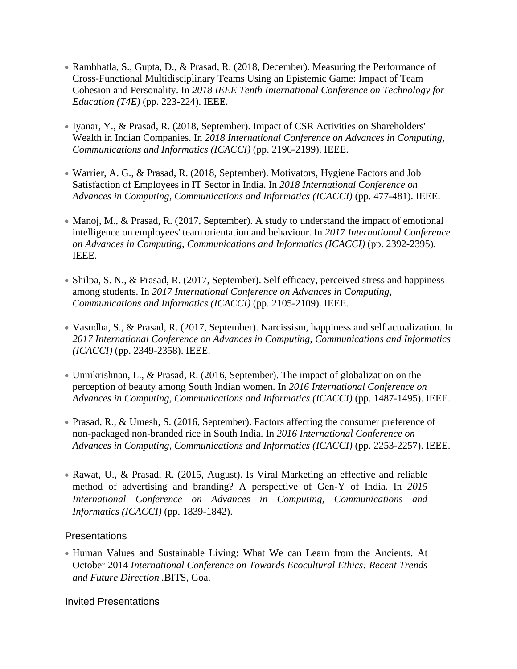- Rambhatla, S., Gupta, D., & Prasad, R. (2018, December). Measuring the Performance of Cross-Functional Multidisciplinary Teams Using an Epistemic Game: Impact of Team Cohesion and Personality. In *2018 IEEE Tenth International Conference on Technology for Education (T4E)* (pp. 223-224). IEEE.
- Iyanar, Y., & Prasad, R. (2018, September). Impact of CSR Activities on Shareholders' Wealth in Indian Companies. In *2018 International Conference on Advances in Computing, Communications and Informatics (ICACCI)* (pp. 2196-2199). IEEE.
- Warrier, A. G., & Prasad, R. (2018, September). Motivators, Hygiene Factors and Job Satisfaction of Employees in IT Sector in India. In *2018 International Conference on Advances in Computing, Communications and Informatics (ICACCI)* (pp. 477-481). IEEE.
- Manoj, M., & Prasad, R. (2017, September). A study to understand the impact of emotional intelligence on employees' team orientation and behaviour. In *2017 International Conference on Advances in Computing, Communications and Informatics (ICACCI)* (pp. 2392-2395). IEEE.
- Shilpa, S. N., & Prasad, R. (2017, September). Self efficacy, perceived stress and happiness among students. In *2017 International Conference on Advances in Computing, Communications and Informatics (ICACCI)* (pp. 2105-2109). IEEE.
- Vasudha, S., & Prasad, R. (2017, September). Narcissism, happiness and self actualization. In *2017 International Conference on Advances in Computing, Communications and Informatics (ICACCI)* (pp. 2349-2358). IEEE.
- Unnikrishnan, L., & Prasad, R. (2016, September). The impact of globalization on the perception of beauty among South Indian women. In *2016 International Conference on Advances in Computing, Communications and Informatics (ICACCI)* (pp. 1487-1495). IEEE.
- Prasad, R., & Umesh, S. (2016, September). Factors affecting the consumer preference of non-packaged non-branded rice in South India. In *2016 International Conference on Advances in Computing, Communications and Informatics (ICACCI)* (pp. 2253-2257). IEEE.
- Rawat, U., & Prasad, R. (2015, August). Is Viral Marketing an effective and reliable method of advertising and branding? A perspective of Gen-Y of India. In *2015 International Conference on Advances in Computing, Communications and Informatics (ICACCI)* (pp. 1839-1842).

## Presentations

 Human Values and Sustainable Living: What We can Learn from the Ancients. At October 2014 *International Conference on Towards Ecocultural Ethics: Recent Trends and Future Direction .*BITS, Goa.

Invited Presentations